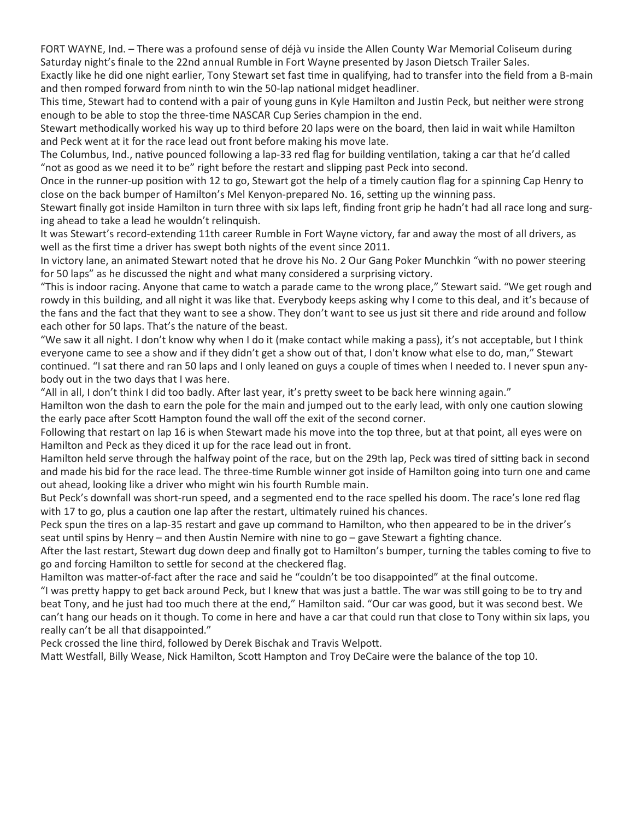FORT WAYNE, Ind. – There was a profound sense of déjà vu inside the Allen County War Memorial Coliseum during Saturday night's finale to the 22nd annual Rumble in Fort Wayne presented by Jason Dietsch Trailer Sales.

Exactly like he did one night earlier, Tony Stewart set fast time in qualifying, had to transfer into the field from a B-main and then romped forward from ninth to win the 50-lap national midget headliner.

This time, Stewart had to contend with a pair of young guns in Kyle Hamilton and Justin Peck, but neither were strong enough to be able to stop the three-time NASCAR Cup Series champion in the end.

Stewart methodically worked his way up to third before 20 laps were on the board, then laid in wait while Hamilton and Peck went at it for the race lead out front before making his move late.

The Columbus, Ind., native pounced following a lap-33 red flag for building ventilation, taking a car that he'd called "not as good as we need it to be" right before the restart and slipping past Peck into second.

Once in the runner-up position with 12 to go, Stewart got the help of a timely caution flag for a spinning Cap Henry to close on the back bumper of Hamilton's Mel Kenyon-prepared No. 16, setting up the winning pass.

Stewart finally got inside Hamilton in turn three with six laps left, finding front grip he hadn't had all race long and surging ahead to take a lead he wouldn't relinquish.

It was Stewart's record-extending 11th career Rumble in Fort Wayne victory, far and away the most of all drivers, as well as the first time a driver has swept both nights of the event since 2011.

In victory lane, an animated Stewart noted that he drove his No. 2 Our Gang Poker Munchkin "with no power steering for 50 laps" as he discussed the night and what many considered a surprising victory.

"This is indoor racing. Anyone that came to watch a parade came to the wrong place," Stewart said. "We get rough and rowdy in this building, and all night it was like that. Everybody keeps asking why I come to this deal, and it's because of the fans and the fact that they want to see a show. They don't want to see us just sit there and ride around and follow each other for 50 laps. That's the nature of the beast.

"We saw it all night. I don't know why when I do it (make contact while making a pass), it's not acceptable, but I think everyone came to see a show and if they didn't get a show out of that, I don't know what else to do, man," Stewart continued. "I sat there and ran 50 laps and I only leaned on guys a couple of times when I needed to. I never spun anybody out in the two days that I was here.

"All in all, I don't think I did too badly. After last year, it's pretty sweet to be back here winning again."

Hamilton won the dash to earn the pole for the main and jumped out to the early lead, with only one caution slowing the early pace after Scott Hampton found the wall off the exit of the second corner.

Following that restart on lap 16 is when Stewart made his move into the top three, but at that point, all eyes were on Hamilton and Peck as they diced it up for the race lead out in front.

Hamilton held serve through the halfway point of the race, but on the 29th lap, Peck was tired of sitting back in second and made his bid for the race lead. The three-time Rumble winner got inside of Hamilton going into turn one and came out ahead, looking like a driver who might win his fourth Rumble main.

But Peck's downfall was short-run speed, and a segmented end to the race spelled his doom. The race's lone red flag with 17 to go, plus a caution one lap after the restart, ultimately ruined his chances.

Peck spun the tires on a lap-35 restart and gave up command to Hamilton, who then appeared to be in the driver's seat until spins by Henry – and then Austin Nemire with nine to go – gave Stewart a fighting chance.

After the last restart, Stewart dug down deep and finally got to Hamilton's bumper, turning the tables coming to five to go and forcing Hamilton to settle for second at the checkered flag.

Hamilton was matter-of-fact after the race and said he "couldn't be too disappointed" at the final outcome.

"I was pretty happy to get back around Peck, but I knew that was just a battle. The war was still going to be to try and beat Tony, and he just had too much there at the end," Hamilton said. "Our car was good, but it was second best. We can't hang our heads on it though. To come in here and have a car that could run that close to Tony within six laps, you really can't be all that disappointed."

Peck crossed the line third, followed by Derek Bischak and Travis Welpott.

Matt Westfall, Billy Wease, Nick Hamilton, Scott Hampton and Troy DeCaire were the balance of the top 10.